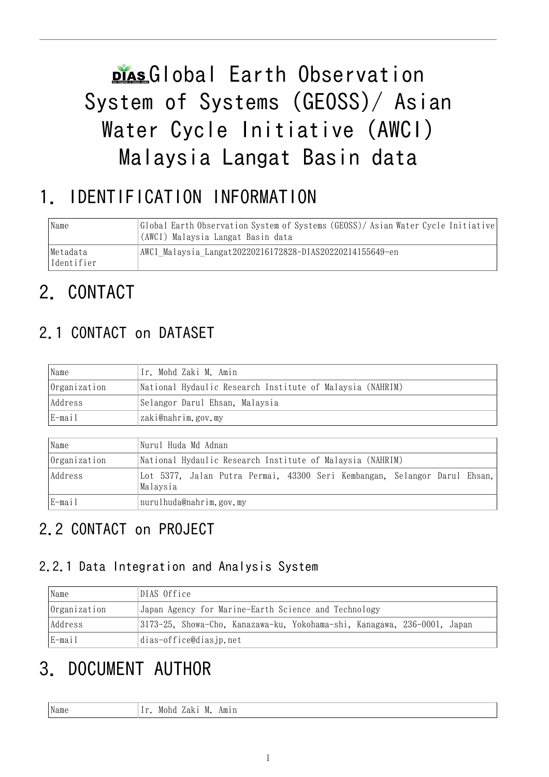# plas Global Earth Observation System of Systems (GEOSS)/ Asian Water Cycle Initiative (AWCI) Malaysia Langat Basin data

# 1. IDENTIFICATION INFORMATION

| Name                   | Global Earth Observation System of Systems (GEOSS)/Asian Water Cycle Initiative<br>(AWCI) Malaysia Langat Basin data |
|------------------------|----------------------------------------------------------------------------------------------------------------------|
| Metadata<br>Identifier | AWCI Malaysia Langat20220216172828-DIAS20220214155649-en                                                             |

# 2. CONTACT

## 2.1 CONTACT on DATASET

| Name         | Ir. Mohd Zaki M. Amin                                     |
|--------------|-----------------------------------------------------------|
| Organization | National Hydaulic Research Institute of Malaysia (NAHRIM) |
| Address      | Selangor Darul Ehsan, Malaysia                            |
| E-mail       | zaki@nahrim.gov.my                                        |

| Name         | Nurul Huda Md Adnan                                                                   |  |  |  |
|--------------|---------------------------------------------------------------------------------------|--|--|--|
| Organization | National Hydaulic Research Institute of Malaysia (NAHRIM)                             |  |  |  |
| Address      | Lot 5377, Jalan Putra Permai, 43300 Seri Kembangan, Selangor Darul Ehsan,<br>Malaysia |  |  |  |
| E-mail       | nurulhuda@nahrim.gov.my                                                               |  |  |  |

## 2.2 CONTACT on PROJECT

#### 2.2.1 Data Integration and Analysis System

| Name                                                                                | DIAS Office                                          |  |  |
|-------------------------------------------------------------------------------------|------------------------------------------------------|--|--|
| Organization                                                                        | Japan Agency for Marine-Earth Science and Technology |  |  |
| 3173-25, Showa-Cho, Kanazawa-ku, Yokohama-shi, Kanagawa, 236-0001, Japan<br>Address |                                                      |  |  |
| $E$ -mail                                                                           | dias-office@dias.jp.net                              |  |  |

# 3. DOCUMENT AUTHOR

| Name<br>Amın<br>.                     |  |
|---------------------------------------|--|
| MOIIG<br>$_{\rm{IVL}}$<br>aani<br>. . |  |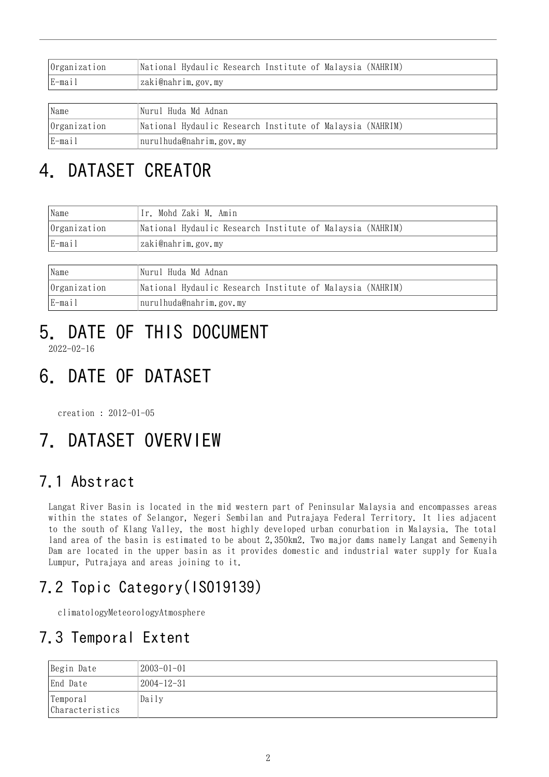| Organization | National Hydaulic Research Institute of Malaysia (NAHRIM) |
|--------------|-----------------------------------------------------------|
| E-mail       | zaki@nahrim.gov.my                                        |
|              |                                                           |
| Name         | Nurul Huda Md Adnan                                       |
| Organization | National Hydaulic Research Institute of Malaysia (NAHRIM) |
| E-mail       | nurulhuda@nahrim.gov.my                                   |

# 4. DATASET CREATOR

| Name         | Ir. Mohd Zaki M. Amin                                     |
|--------------|-----------------------------------------------------------|
| Organization | National Hydaulic Research Institute of Malaysia (NAHRIM) |
| E-mail       | zaki@nahrim.gov.my                                        |
|              |                                                           |

| Name         | Nurul Huda Md Adnan                                       |
|--------------|-----------------------------------------------------------|
| Organization | National Hydaulic Research Institute of Malaysia (NAHRIM) |
| E-mail       | nurulhuda@nahrim.gov.my                                   |

# 5. DATE OF THIS DOCUMENT

2022-02-16

# 6. DATE OF DATASET

creation : 2012-01-05

# 7. DATASET OVERVIEW

## 7.1 Abstract

Langat River Basin is located in the mid western part of Peninsular Malaysia and encompasses areas within the states of Selangor, Negeri Sembilan and Putrajaya Federal Territory. It lies adjacent to the south of Klang Valley, the most highly developed urban conurbation in Malaysia. The total land area of the basin is estimated to be about 2,350km2. Two major dams namely Langat and Semenyih Dam are located in the upper basin as it provides domestic and industrial water supply for Kuala Lumpur, Putrajaya and areas joining to it.

### 7.2 Topic Category(ISO19139)

climatologyMeteorologyAtmosphere

### 7.3 Temporal Extent

| Begin Date                   | $ 2003-01-01$ |
|------------------------------|---------------|
| End Date                     | 2004-12-31    |
| 'Temporal<br>Characteristics | Daily         |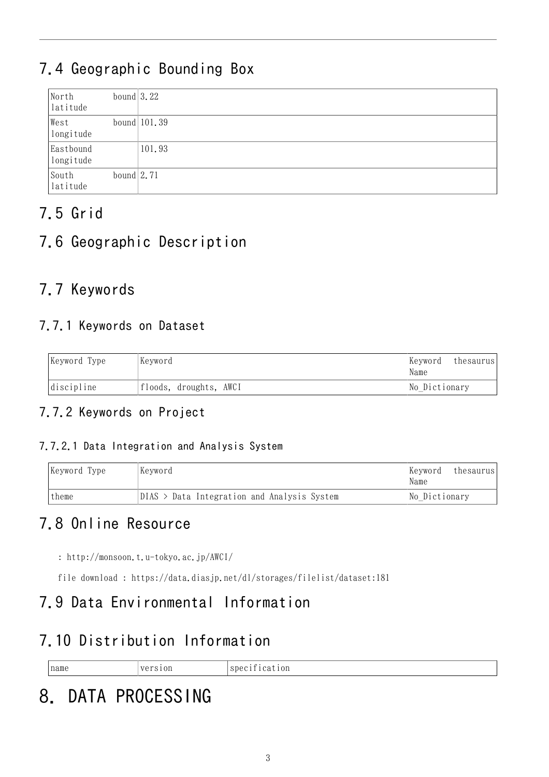## 7.4 Geographic Bounding Box

| North<br>latitude      | bound $3.22$  |                 |
|------------------------|---------------|-----------------|
| West<br>longitude      |               | bound $ 101.39$ |
| Eastbound<br>longitude |               | 101.93          |
| South<br>latitude      | bound $ 2.71$ |                 |

## 7.5 Grid

### 7.6 Geographic Description

### 7.7 Keywords

#### 7.7.1 Keywords on Dataset

| Keyword Type<br>Keyword |                        | Keyword<br>Name | thesaurus |
|-------------------------|------------------------|-----------------|-----------|
| $discript{line}$        | floods, droughts, AWCI | No Dictionary   |           |

#### 7.7.2 Keywords on Project

#### 7.7.2.1 Data Integration and Analysis System

| Keyword Type | Keyword                                       | Keyword<br>thesaurus<br>Name |
|--------------|-----------------------------------------------|------------------------------|
| theme        | $DIAS$ > Data Integration and Analysis System | No Dictionary                |

### 7.8 Online Resource

: <http://monsoon.t.u-tokyo.ac.jp/AWCI/>

file download : <https://data.diasjp.net/dl/storages/filelist/dataset:181>

### 7.9 Data Environmental Information

### 7.10 Distribution Information

| name | $\sim$ $\sim$<br>.<br>the contract of the contract of the | $\sim$<br>10r<br>$\sim$<br>ΩΩ,<br>''<br>the contract of the contract of |
|------|-----------------------------------------------------------|-------------------------------------------------------------------------|
|      |                                                           |                                                                         |

# 8. DATA PROCESSING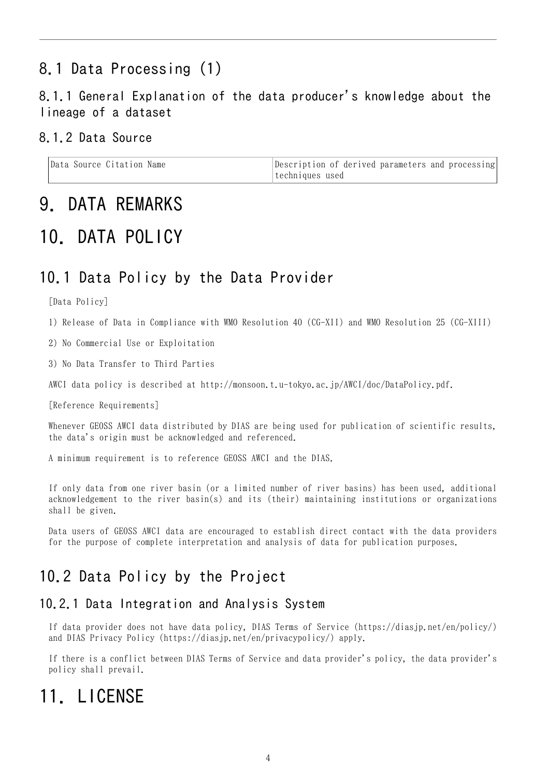### 8.1 Data Processing (1)

#### 8.1.1 General Explanation of the data producer's knowledge about the lineage of a dataset

#### 8.1.2 Data Source

| Data Source Citation Name | Description of derived parameters and processing |
|---------------------------|--------------------------------------------------|
|                           | Itechniques used                                 |

### 9. DATA REMARKS

### 10. DATA POLICY

#### 10.1 Data Policy by the Data Provider

[Data Policy]

1) Release of Data in Compliance with WMO Resolution 40 (CG-XII) and WMO Resolution 25 (CG-XIII)

2) No Commercial Use or Exploitation

3) No Data Transfer to Third Parties

AWCI data policy is described at http://monsoon.t.u-tokyo.ac.jp/AWCI/doc/DataPolicy.pdf.

[Reference Requirements]

Whenever GEOSS AWCI data distributed by DIAS are being used for publication of scientific results, the data's origin must be acknowledged and referenced.

A minimum requirement is to reference GEOSS AWCI and the DIAS.

If only data from one river basin (or a limited number of river basins) has been used, additional acknowledgement to the river basin(s) and its (their) maintaining institutions or organizations shall be given.

Data users of GEOSS AWCI data are encouraged to establish direct contact with the data providers for the purpose of complete interpretation and analysis of data for publication purposes.

#### 10.2 Data Policy by the Project

#### 10.2.1 Data Integration and Analysis System

If data provider does not have data policy, DIAS Terms of Service (https://diasjp.net/en/policy/) and DIAS Privacy Policy (https://diasjp.net/en/privacypolicy/) apply.

If there is a conflict between DIAS Terms of Service and data provider's policy, the data provider's policy shall prevail.

## 11 LICENSE